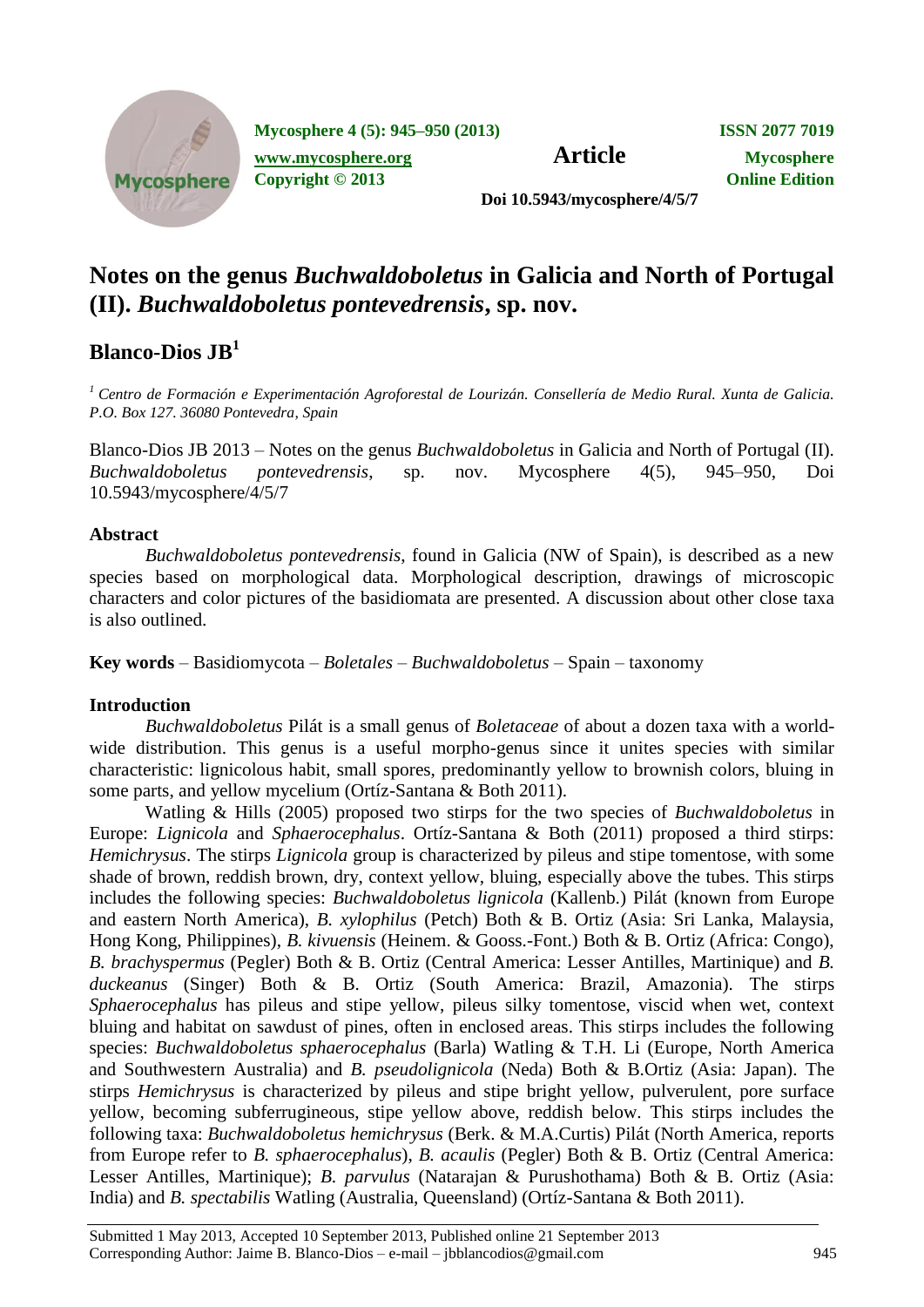

**Mycosphere 4 (5): 945–950 (2013) ISSN 2077 7019**

**[www.mycosphere.org](http://www.mycosphere.org/) Article Mycosphere** 

**Copyright © 2013 Online Edition**

**Doi 10.5943/mycosphere/4/5/7**

# **Notes on the genus** *Buchwaldoboletus* **in Galicia and North of Portugal (II).** *Buchwaldoboletus pontevedrensis***, sp. nov.**

## **Blanco-Dios JB<sup>1</sup>**

*<sup>1</sup>Centro de Formación e Experimentación Agroforestal de Lourizán. Consellería de Medio Rural. Xunta de Galicia. P.O. Box 127. 36080 Pontevedra, Spain*

Blanco-Dios JB 2013 – Notes on the genus *Buchwaldoboletus* in Galicia and North of Portugal (II). *Buchwaldoboletus pontevedrensis*, sp. nov. Mycosphere 4(5), 945–950, Doi 10.5943/mycosphere/4/5/7

### **Abstract**

*Buchwaldoboletus pontevedrensis*, found in Galicia (NW of Spain), is described as a new species based on morphological data. Morphological description, drawings of microscopic characters and color pictures of the basidiomata are presented. A discussion about other close taxa is also outlined.

**Key words** – Basidiomycota – *Boletales* – *Buchwaldoboletus* – Spain – taxonomy

## **Introduction**

*Buchwaldoboletus* Pilát is a small genus of *Boletaceae* of about a dozen taxa with a worldwide distribution. This genus is a useful morpho-genus since it unites species with similar characteristic: lignicolous habit, small spores, predominantly yellow to brownish colors, bluing in some parts, and yellow mycelium (Ortíz-Santana & Both 2011).

Watling & Hills (2005) proposed two stirps for the two species of *Buchwaldoboletus* in Europe: *Lignicola* and *Sphaerocephalus*. Ortíz-Santana & Both (2011) proposed a third stirps: *Hemichrysus*. The stirps *Lignicola* group is characterized by pileus and stipe tomentose, with some shade of brown, reddish brown, dry, context yellow, bluing, especially above the tubes. This stirps includes the following species: *Buchwaldoboletus lignicola* (Kallenb.) Pilát (known from Europe and eastern North America), *B. xylophilus* (Petch) Both & B. Ortiz (Asia: Sri Lanka, Malaysia, Hong Kong, Philippines), *B. kivuensis* (Heinem. & Gooss.-Font.) Both & B. Ortiz (Africa: Congo), *B. brachyspermus* (Pegler) Both & B. Ortiz (Central America: Lesser Antilles, Martinique) and *B. duckeanus* (Singer) Both & B. Ortiz (South America: Brazil, Amazonia). The stirps *Sphaerocephalus* has pileus and stipe yellow, pileus silky tomentose, viscid when wet, context bluing and habitat on sawdust of pines, often in enclosed areas. This stirps includes the following species: *Buchwaldoboletus sphaerocephalus* (Barla) Watling & T.H. Li (Europe, North America and Southwestern Australia) and *B. pseudolignicola* (Neda) Both & B.Ortiz (Asia: Japan). The stirps *Hemichrysus* is characterized by pileus and stipe bright yellow, pulverulent, pore surface yellow, becoming subferrugineous, stipe yellow above, reddish below. This stirps includes the following taxa: *Buchwaldoboletus hemichrysus* (Berk. & M.A.Curtis) Pilát (North America, reports from Europe refer to *B. sphaerocephalus*), *B. acaulis* (Pegler) Both & B. Ortiz (Central America: Lesser Antilles, Martinique); *B. parvulus* (Natarajan & Purushothama) Both & B. Ortiz (Asia: India) and *B. spectabilis* Watling (Australia, Queensland) (Ortíz-Santana & Both 2011).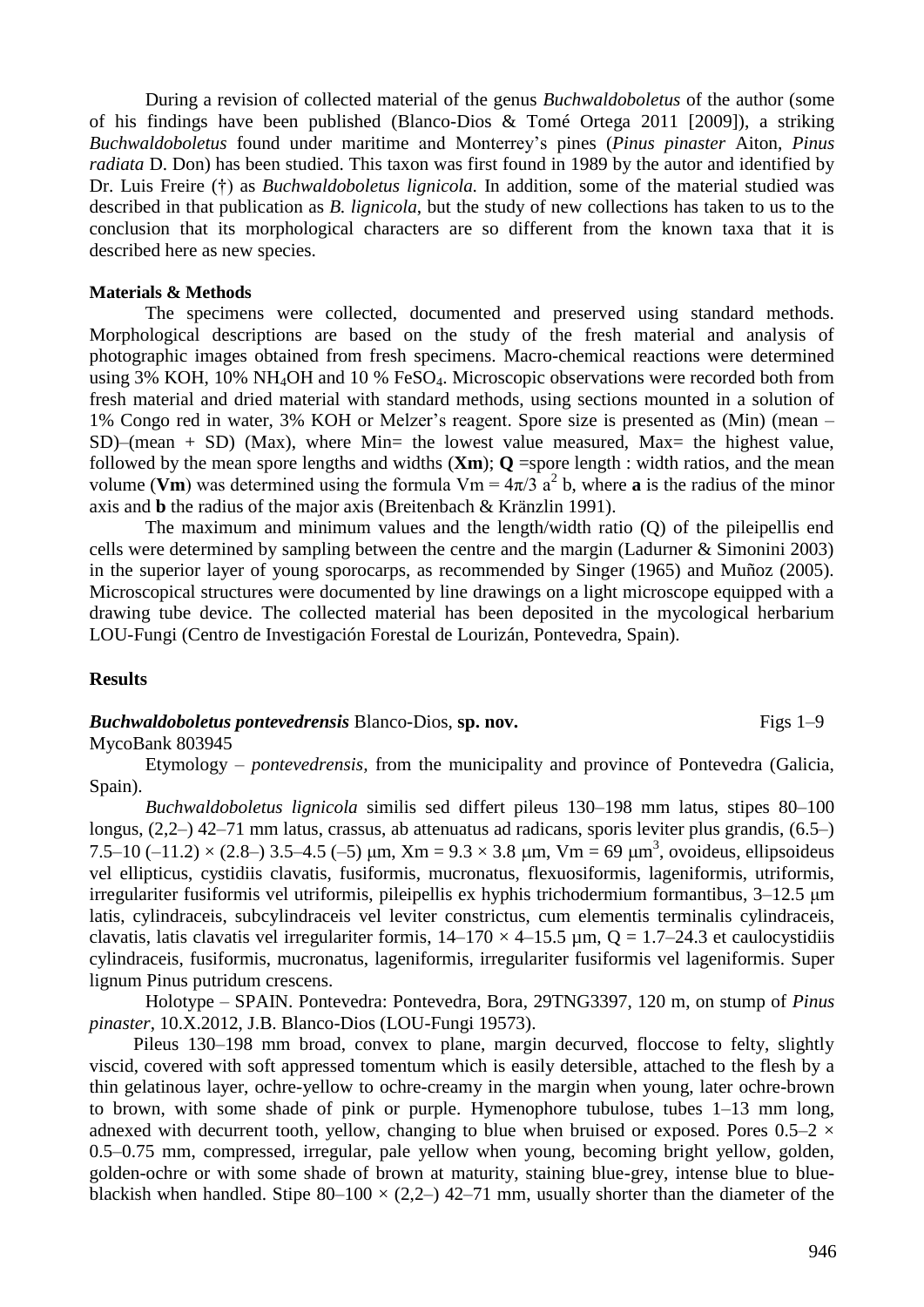During a revision of collected material of the genus *Buchwaldoboletus* of the author (some of his findings have been published (Blanco-Dios & Tomé Ortega 2011 [2009]), a striking *Buchwaldoboletus* found under maritime and Monterrey's pines (*Pinus pinaster* Aiton*, Pinus radiata* D. Don) has been studied. This taxon was first found in 1989 by the autor and identified by Dr. Luis Freire (†) as *Buchwaldoboletus lignicola.* In addition, some of the material studied was described in that publication as *B. lignicola*, but the study of new collections has taken to us to the conclusion that its morphological characters are so different from the known taxa that it is described here as new species.

#### **Materials & Methods**

The specimens were collected, documented and preserved using standard methods. Morphological descriptions are based on the study of the fresh material and analysis of photographic images obtained from fresh specimens. Macro-chemical reactions were determined using  $3\%$  KOH,  $10\%$  NH<sub>4</sub>OH and  $10\%$  FeSO<sub>4</sub>. Microscopic observations were recorded both from fresh material and dried material with standard methods, using sections mounted in a solution of 1% Congo red in water, 3% KOH or Melzer's reagent. Spore size is presented as (Min) (mean –  $SD$ )–(mean + SD) (Max), where Min= the lowest value measured, Max= the highest value, followed by the mean spore lengths and widths  $(\mathbf{Xm})$ ;  $\mathbf{Q}$  =spore length : width ratios, and the mean volume (Vm) was determined using the formula Vm =  $4\pi/3$  a<sup>2</sup> b, where **a** is the radius of the minor axis and **b** the radius of the major axis (Breitenbach & Kränzlin 1991).

The maximum and minimum values and the length/width ratio (Q) of the pileipellis end cells were determined by sampling between the centre and the margin (Ladurner & Simonini 2003) in the superior layer of young sporocarps, as recommended by Singer (1965) and Muñoz (2005). Microscopical structures were documented by line drawings on a light microscope equipped with a drawing tube device. The collected material has been deposited in the mycological herbarium LOU-Fungi (Centro de Investigación Forestal de Lourizán, Pontevedra, Spain).

#### **Results**

*Buchwaldoboletus pontevedrensis Blanco-Dios, sp. nov.* Figs 1–9

MycoBank 803945

Etymology – *pontevedrensis,* from the municipality and province of Pontevedra (Galicia, Spain).

*Buchwaldoboletus lignicola* similis sed differt pileus 130–198 mm latus, stipes 80–100 longus, (2,2–) 42–71 mm latus, crassus, ab attenuatus ad radicans, sporis leviter plus grandis, (6.5–) 7.5–10 (-11.2)  $\times$  (2.8–) 3.5–4.5 (-5)  $\mu$ m, Xm = 9.3  $\times$  3.8  $\mu$ m, Vm = 69  $\mu$ m<sup>3</sup>, ovoideus, ellipsoideus vel ellipticus, cystidiis clavatis, fusiformis, mucronatus, flexuosiformis, lageniformis, utriformis, irregulariter fusiformis vel utriformis, pileipellis ex hyphis trichodermium formantibus, 3–12.5 μm latis, cylindraceis, subcylindraceis vel leviter constrictus, cum elementis terminalis cylindraceis, clavatis, latis clavatis vel irregulariter formis,  $14-170 \times 4-15.5 \mu m$ , Q = 1.7–24.3 et caulocystidiis cylindraceis, fusiformis, mucronatus, lageniformis, irregulariter fusiformis vel lageniformis. Super lignum Pinus putridum crescens.

Holotype – SPAIN. Pontevedra: Pontevedra, Bora, 29TNG3397, 120 m, on stump of *Pinus pinaster*, 10.X.2012, J.B. Blanco-Dios (LOU-Fungi 19573).

Pileus 130–198 mm broad, convex to plane, margin decurved, floccose to felty, slightly viscid, covered with soft appressed tomentum which is easily detersible, attached to the flesh by a thin gelatinous layer, ochre-yellow to ochre-creamy in the margin when young, later ochre-brown to brown, with some shade of pink or purple. Hymenophore tubulose, tubes 1–13 mm long, adnexed with decurrent tooth, yellow, changing to blue when bruised or exposed. Pores  $0.5-2 \times$ 0.5–0.75 mm, compressed, irregular, pale yellow when young, becoming bright yellow, golden, golden-ochre or with some shade of brown at maturity, staining blue-grey, intense blue to blueblackish when handled. Stipe  $80-100 \times (2,2-)$  42-71 mm, usually shorter than the diameter of the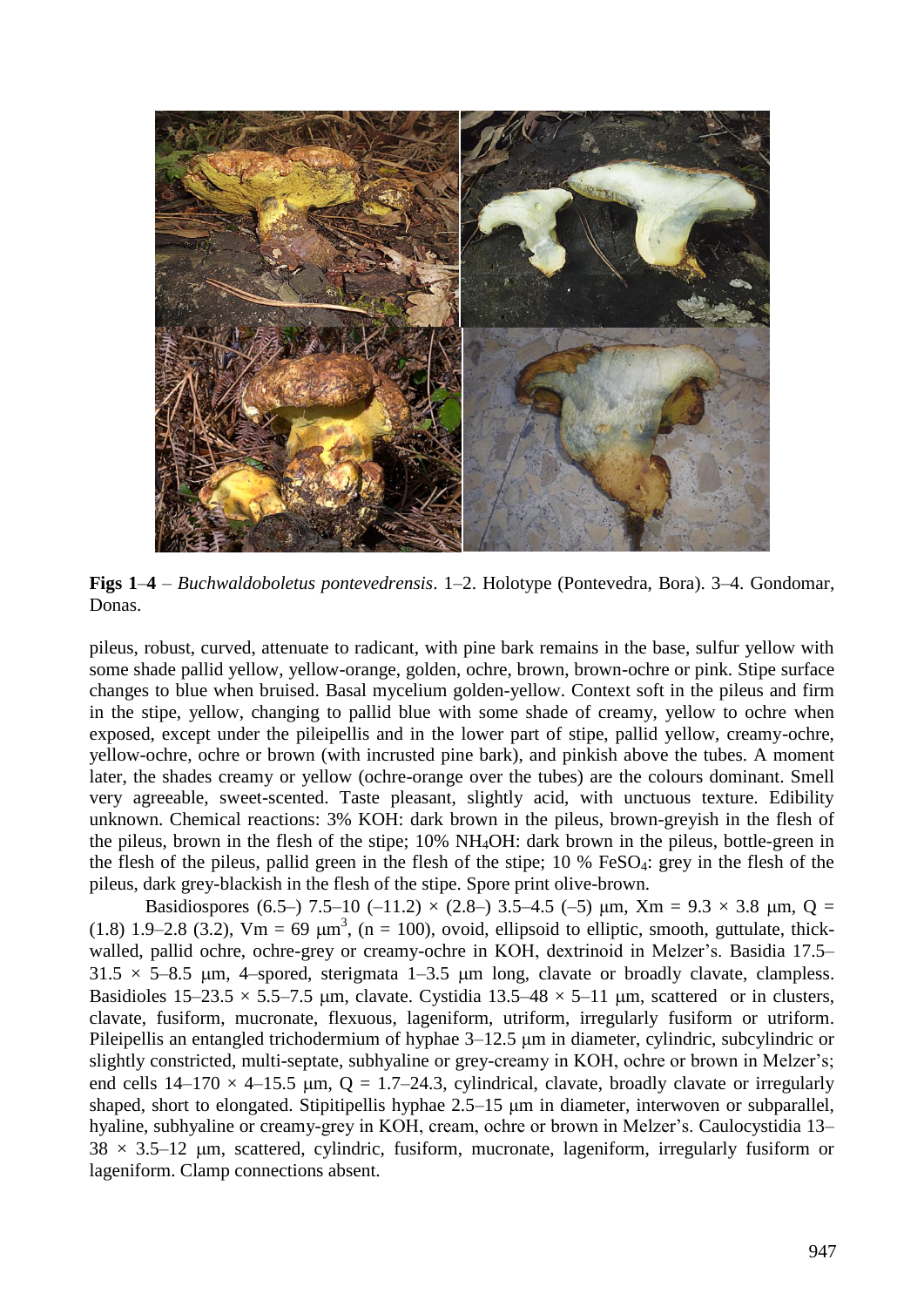

**Figs 1**–**4** – *Buchwaldoboletus pontevedrensis*. 1–2. Holotype (Pontevedra, Bora). 3–4. Gondomar, Donas.

pileus, robust, curved, attenuate to radicant, with pine bark remains in the base, sulfur yellow with some shade pallid yellow, yellow-orange, golden, ochre, brown, brown-ochre or pink. Stipe surface changes to blue when bruised. Basal mycelium golden-yellow. Context soft in the pileus and firm in the stipe, yellow, changing to pallid blue with some shade of creamy, yellow to ochre when exposed, except under the pileipellis and in the lower part of stipe, pallid yellow, creamy-ochre, yellow-ochre, ochre or brown (with incrusted pine bark), and pinkish above the tubes. A moment later, the shades creamy or yellow (ochre-orange over the tubes) are the colours dominant. Smell very agreeable, sweet-scented. Taste pleasant, slightly acid, with unctuous texture. Edibility unknown. Chemical reactions: 3% KOH: dark brown in the pileus, brown-greyish in the flesh of the pileus, brown in the flesh of the stipe; 10% NH4OH: dark brown in the pileus, bottle-green in the flesh of the pileus, pallid green in the flesh of the stipe;  $10\%$  FeSO<sub>4</sub>: grey in the flesh of the pileus, dark grey-blackish in the flesh of the stipe. Spore print olive-brown.

Basidiospores (6.5–) 7.5–10 (–11.2)  $\times$  (2.8–) 3.5–4.5 (–5)  $\mu$ m, Xm = 9.3  $\times$  3.8  $\mu$ m, Q = (1.8) 1.9–2.8 (3.2), Vm = 69  $\mu$ m<sup>3</sup>, (n = 100), ovoid, ellipsoid to elliptic, smooth, guttulate, thickwalled, pallid ochre, ochre-grey or creamy-ochre in KOH, dextrinoid in Melzer's. Basidia 17.5–  $31.5 \times 5-8.5$  µm, 4-spored, sterigmata 1-3.5 µm long, clavate or broadly clavate, clampless. Basidioles  $15-23.5 \times 5.5-7.5$  um, clavate. Cystidia  $13.5-48 \times 5-11$  um, scattered or in clusters, clavate, fusiform, mucronate, flexuous, lageniform, utriform, irregularly fusiform or utriform. Pileipellis an entangled trichodermium of hyphae 3–12.5 μm in diameter, cylindric, subcylindric or slightly constricted, multi-septate, subhyaline or grey-creamy in KOH, ochre or brown in Melzer's; end cells  $14-170 \times 4-15.5$  µm,  $Q = 1.7-24.3$ , cylindrical, clavate, broadly clavate or irregularly shaped, short to elongated. Stipitipellis hyphae 2.5–15 μm in diameter, interwoven or subparallel, hyaline, subhyaline or creamy-grey in KOH, cream, ochre or brown in Melzer's. Caulocystidia 13–  $38 \times 3.5$ –12 µm, scattered, cylindric, fusiform, mucronate, lageniform, irregularly fusiform or lageniform. Clamp connections absent.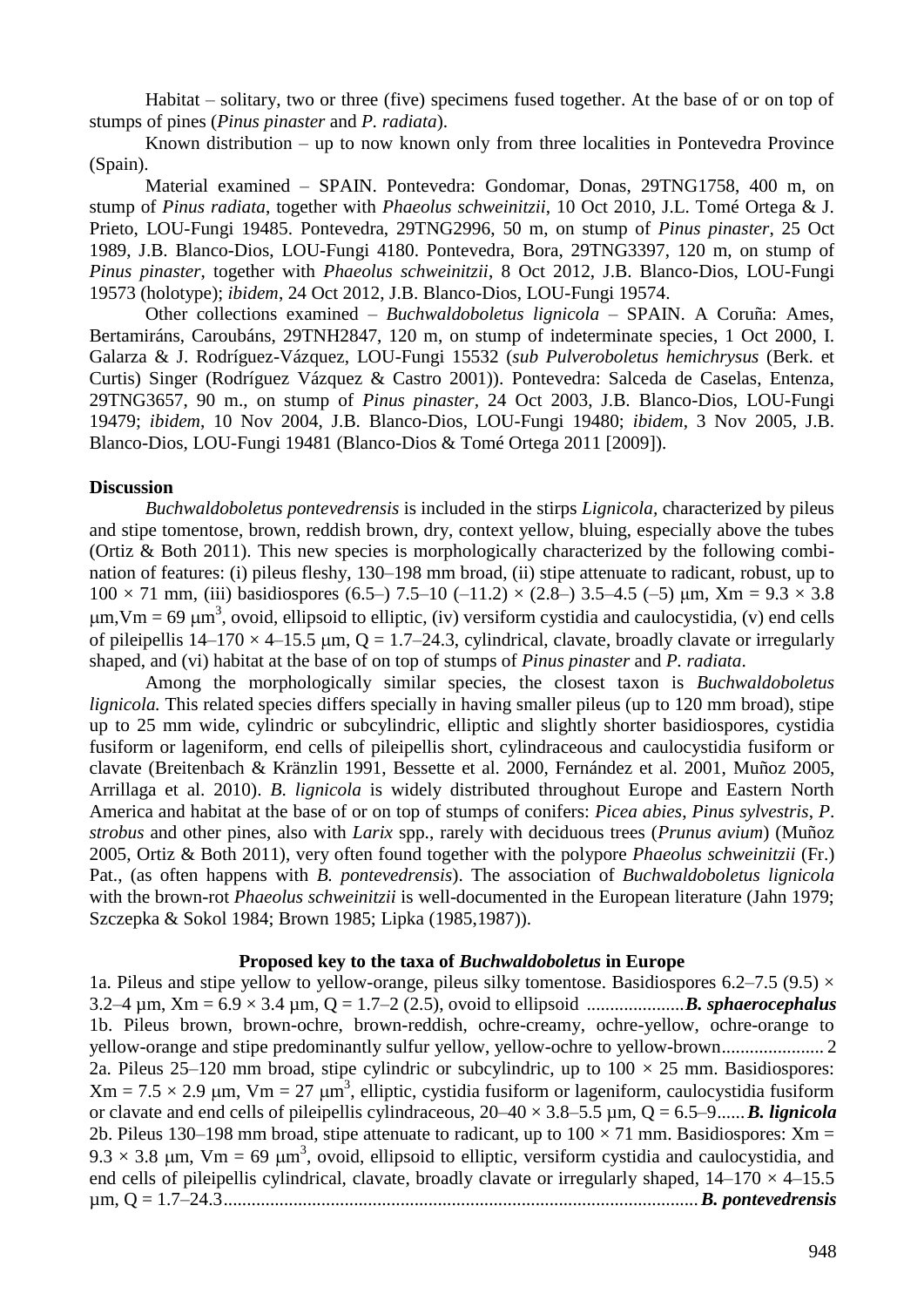Habitat – solitary, two or three (five) specimens fused together. At the base of or on top of stumps of pines (*Pinus pinaster* and *P. radiata*).

Known distribution – up to now known only from three localities in Pontevedra Province (Spain).

Material examined – SPAIN. Pontevedra: Gondomar, Donas, 29TNG1758, 400 m, on stump of *Pinus radiata*, together with *Phaeolus schweinitzii*, 10 Oct 2010, J.L. Tomé Ortega & J. Prieto, LOU-Fungi 19485. Pontevedra, 29TNG2996, 50 m, on stump of *Pinus pinaster*, 25 Oct 1989, J.B. Blanco-Dios, LOU-Fungi 4180. Pontevedra, Bora, 29TNG3397, 120 m, on stump of *Pinus pinaster*, together with *Phaeolus schweinitzii*, 8 Oct 2012, J.B. Blanco-Dios, LOU-Fungi 19573 (holotype); *ibidem*, 24 Oct 2012, J.B. Blanco-Dios, LOU-Fungi 19574.

Other collections examined – *Buchwaldoboletus lignicola* – SPAIN. A Coruña: Ames, Bertamiráns, Caroubáns, 29TNH2847, 120 m, on stump of indeterminate species, 1 Oct 2000, I. Galarza & J. Rodríguez-Vázquez, LOU-Fungi 15532 (*sub Pulveroboletus hemichrysus* (Berk. et Curtis) Singer (Rodríguez Vázquez & Castro 2001)). Pontevedra: Salceda de Caselas, Entenza, 29TNG3657, 90 m., on stump of *Pinus pinaster,* 24 Oct 2003, J.B. Blanco-Dios, LOU-Fungi 19479; *ibidem*, 10 Nov 2004, J.B. Blanco-Dios, LOU-Fungi 19480; *ibidem*, 3 Nov 2005, J.B. Blanco-Dios, LOU-Fungi 19481 (Blanco-Dios & Tomé Ortega 2011 [2009]).

#### **Discussion**

*Buchwaldoboletus pontevedrensis* is included in the stirps *Lignicola,* characterized by pileus and stipe tomentose, brown, reddish brown, dry, context yellow, bluing, especially above the tubes (Ortiz & Both 2011). This new species is morphologically characterized by the following combination of features: (i) pileus fleshy, 130–198 mm broad, (ii) stipe attenuate to radicant, robust, up to  $100 \times 71$  mm, (iii) basidiospores (6.5–) 7.5–10 (–11.2)  $\times$  (2.8–) 3.5–4.5 (–5)  $\mu$ m, Xm = 9.3  $\times$  3.8  $\mu$ m,Vm = 69  $\mu$ m<sup>3</sup>, ovoid, ellipsoid to elliptic, (iv) versiform cystidia and caulocystidia, (v) end cells of pileipellis  $14-170 \times 4-15.5$  um,  $Q = 1.7-24.3$ , cylindrical, clavate, broadly clavate or irregularly shaped, and (vi) habitat at the base of on top of stumps of *Pinus pinaster* and *P. radiata*.

Among the morphologically similar species, the closest taxon is *Buchwaldoboletus lignicola*. This related species differs specially in having smaller pileus (up to 120 mm broad), stipe up to 25 mm wide, cylindric or subcylindric, elliptic and slightly shorter basidiospores, cystidia fusiform or lageniform, end cells of pileipellis short, cylindraceous and caulocystidia fusiform or clavate (Breitenbach & Kränzlin 1991, Bessette et al. 2000, Fernández et al. 2001, Muñoz 2005, Arrillaga et al. 2010). *B*. *lignicola* is widely distributed throughout Europe and Eastern North America and habitat at the base of or on top of stumps of conifers: *Picea abies*, *Pinus sylvestris*, *P*. *strobus* and other pines, also with *Larix* spp., rarely with deciduous trees (*Prunus avium*) (Muñoz 2005, Ortiz & Both 2011), very often found together with the polypore *Phaeolus schweinitzii* (Fr.) Pat., (as often happens with *B. pontevedrensis*). The association of *Buchwaldoboletus lignicola*  with the brown-rot *Phaeolus schweinitzii* is well-documented in the European literature (Jahn 1979; Szczepka & Sokol 1984; Brown 1985; Lipka (1985,1987)).

#### **Proposed key to the taxa of** *Buchwaldoboletus* **in Europe**

1a. Pileus and stipe yellow to yellow-orange, pileus silky tomentose. Basidiospores 6.2–7.5 (9.5)  $\times$ 3.2–4 µm, Xm = 6.9 × 3.4 µm, Q = 1.7–2 (2.5), ovoid to ellipsoid .....................*B. sphaerocephalus* 1b. Pileus brown, brown-ochre, brown-reddish, ochre-creamy, ochre-yellow, ochre-orange to yellow-orange and stipe predominantly sulfur yellow, yellow-ochre to yellow-brown...................... 2 2a. Pileus 25–120 mm broad, stipe cylindric or subcylindric, up to  $100 \times 25$  mm. Basidiospores:  $Xm = 7.5 \times 2.9 \mu m$ ,  $Vm = 27 \mu m^3$ , elliptic, cystidia fusiform or lageniform, caulocystidia fusiform or clavate and end cells of pileipellis cylindraceous,  $20-40 \times 3.8-5.5 \mu m$ ,  $Q = 6.5-9$ ......*B. lignicola* 2b. Pileus 130–198 mm broad, stipe attenuate to radicant, up to  $100 \times 71$  mm. Basidiospores: Xm =  $9.3 \times 3.8$  µm, Vm = 69 µm<sup>3</sup>, ovoid, ellipsoid to elliptic, versiform cystidia and caulocystidia, and end cells of pileipellis cylindrical, clavate, broadly clavate or irregularly shaped,  $14-170 \times 4-15.5$ µm, Q = 1.7–24.3......................................................................................................*B. pontevedrensis*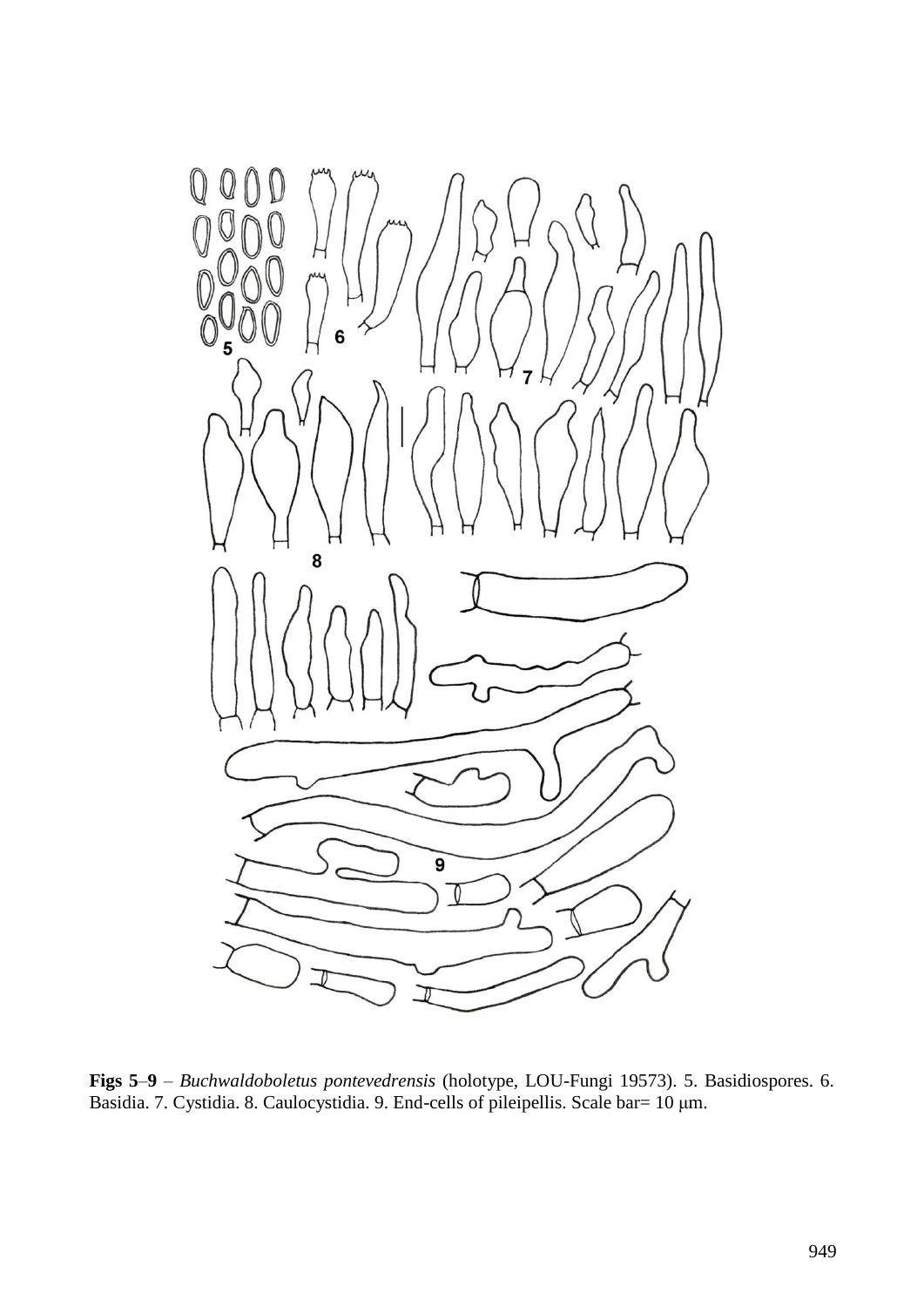

**Figs 5**–**9** – *Buchwaldoboletus pontevedrensis* (holotype, LOU-Fungi 19573). 5. Basidiospores. 6. Basidia. 7. Cystidia. 8. Caulocystidia. 9. End-cells of pileipellis. Scale bar= 10 μm.